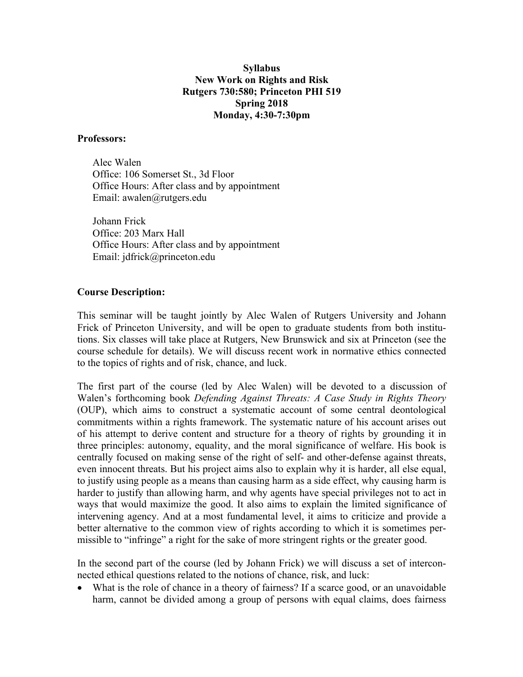### **Syllabus New Work on Rights and Risk Rutgers 730:580; Princeton PHI 519 Spring 2018 Monday, 4:30-7:30pm**

#### **Professors:**

Alec Walen Office: 106 Somerset St., 3d Floor Office Hours: After class and by appointment Email: awalen@rutgers.edu

Johann Frick Office: 203 Marx Hall Office Hours: After class and by appointment Email: jdfrick@princeton.edu

#### **Course Description:**

This seminar will be taught jointly by Alec Walen of Rutgers University and Johann Frick of Princeton University, and will be open to graduate students from both institutions. Six classes will take place at Rutgers, New Brunswick and six at Princeton (see the course schedule for details). We will discuss recent work in normative ethics connected to the topics of rights and of risk, chance, and luck.

The first part of the course (led by Alec Walen) will be devoted to a discussion of Walen's forthcoming book *Defending Against Threats: A Case Study in Rights Theory* (OUP), which aims to construct a systematic account of some central deontological commitments within a rights framework. The systematic nature of his account arises out of his attempt to derive content and structure for a theory of rights by grounding it in three principles: autonomy, equality, and the moral significance of welfare. His book is centrally focused on making sense of the right of self- and other-defense against threats, even innocent threats. But his project aims also to explain why it is harder, all else equal, to justify using people as a means than causing harm as a side effect, why causing harm is harder to justify than allowing harm, and why agents have special privileges not to act in ways that would maximize the good. It also aims to explain the limited significance of intervening agency. And at a most fundamental level, it aims to criticize and provide a better alternative to the common view of rights according to which it is sometimes permissible to "infringe" a right for the sake of more stringent rights or the greater good.

In the second part of the course (led by Johann Frick) we will discuss a set of interconnected ethical questions related to the notions of chance, risk, and luck:

• What is the role of chance in a theory of fairness? If a scarce good, or an unavoidable harm, cannot be divided among a group of persons with equal claims, does fairness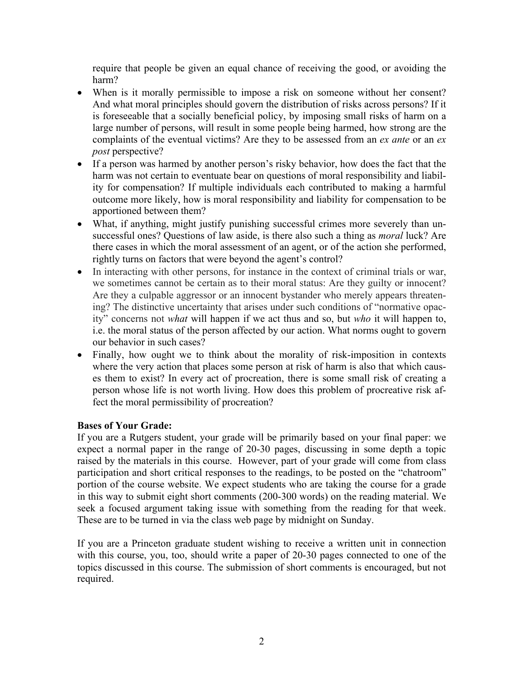require that people be given an equal chance of receiving the good, or avoiding the harm?

- When is it morally permissible to impose a risk on someone without her consent? And what moral principles should govern the distribution of risks across persons? If it is foreseeable that a socially beneficial policy, by imposing small risks of harm on a large number of persons, will result in some people being harmed, how strong are the complaints of the eventual victims? Are they to be assessed from an *ex ante* or an *ex post* perspective?
- If a person was harmed by another person's risky behavior, how does the fact that the harm was not certain to eventuate bear on questions of moral responsibility and liability for compensation? If multiple individuals each contributed to making a harmful outcome more likely, how is moral responsibility and liability for compensation to be apportioned between them?
- What, if anything, might justify punishing successful crimes more severely than unsuccessful ones? Questions of law aside, is there also such a thing as *moral* luck? Are there cases in which the moral assessment of an agent, or of the action she performed, rightly turns on factors that were beyond the agent's control?
- In interacting with other persons, for instance in the context of criminal trials or war, we sometimes cannot be certain as to their moral status: Are they guilty or innocent? Are they a culpable aggressor or an innocent bystander who merely appears threatening? The distinctive uncertainty that arises under such conditions of "normative opacity" concerns not *what* will happen if we act thus and so, but *who* it will happen to, i.e. the moral status of the person affected by our action. What norms ought to govern our behavior in such cases?
- Finally, how ought we to think about the morality of risk-imposition in contexts where the very action that places some person at risk of harm is also that which causes them to exist? In every act of procreation, there is some small risk of creating a person whose life is not worth living. How does this problem of procreative risk affect the moral permissibility of procreation?

### **Bases of Your Grade:**

If you are a Rutgers student, your grade will be primarily based on your final paper: we expect a normal paper in the range of 20-30 pages, discussing in some depth a topic raised by the materials in this course. However, part of your grade will come from class participation and short critical responses to the readings, to be posted on the "chatroom" portion of the course website. We expect students who are taking the course for a grade in this way to submit eight short comments (200-300 words) on the reading material. We seek a focused argument taking issue with something from the reading for that week. These are to be turned in via the class web page by midnight on Sunday.

If you are a Princeton graduate student wishing to receive a written unit in connection with this course, you, too, should write a paper of 20-30 pages connected to one of the topics discussed in this course. The submission of short comments is encouraged, but not required.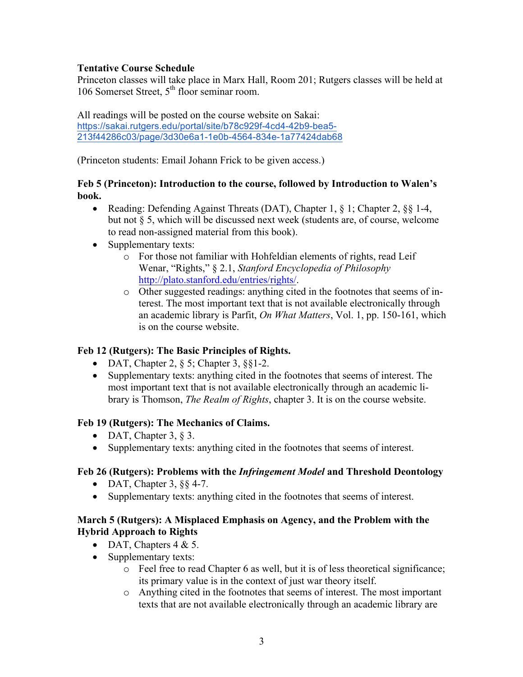# **Tentative Course Schedule**

Princeton classes will take place in Marx Hall, Room 201; Rutgers classes will be held at 106 Somerset Street, 5<sup>th</sup> floor seminar room.

All readings will be posted on the course website on Sakai: https://sakai.rutgers.edu/portal/site/b78c929f-4cd4-42b9-bea5- 213f44286c03/page/3d30e6a1-1e0b-4564-834e-1a77424dab68

(Princeton students: Email Johann Frick to be given access.)

## **Feb 5 (Princeton): Introduction to the course, followed by Introduction to Walen's book.**

- Reading: Defending Against Threats (DAT), Chapter 1, § 1; Chapter 2, § § 1-4, but not § 5, which will be discussed next week (students are, of course, welcome to read non-assigned material from this book).
- Supplementary texts:
	- o For those not familiar with Hohfeldian elements of rights, read Leif Wenar, "Rights," § 2.1, *Stanford Encyclopedia of Philosophy*  http://plato.stanford.edu/entries/rights/.
	- o Other suggested readings: anything cited in the footnotes that seems of interest. The most important text that is not available electronically through an academic library is Parfit, *On What Matters*, Vol. 1, pp. 150-161, which is on the course website.

# **Feb 12 (Rutgers): The Basic Principles of Rights.**

- DAT, Chapter 2,  $\S$  5; Chapter 3,  $\S$ 1-2.
- Supplementary texts: anything cited in the footnotes that seems of interest. The most important text that is not available electronically through an academic library is Thomson, *The Realm of Rights*, chapter 3. It is on the course website.

### **Feb 19 (Rutgers): The Mechanics of Claims.**

- DAT, Chapter 3,  $\&$  3.
- Supplementary texts: anything cited in the footnotes that seems of interest.

### **Feb 26 (Rutgers): Problems with the** *Infringement Model* **and Threshold Deontology**

- DAT, Chapter 3,  $\S$  4-7.
- Supplementary texts: anything cited in the footnotes that seems of interest.

### **March 5 (Rutgers): A Misplaced Emphasis on Agency, and the Problem with the Hybrid Approach to Rights**

- DAT, Chapters  $4 & 5$ .
- Supplementary texts:
	- o Feel free to read Chapter 6 as well, but it is of less theoretical significance; its primary value is in the context of just war theory itself.
	- o Anything cited in the footnotes that seems of interest. The most important texts that are not available electronically through an academic library are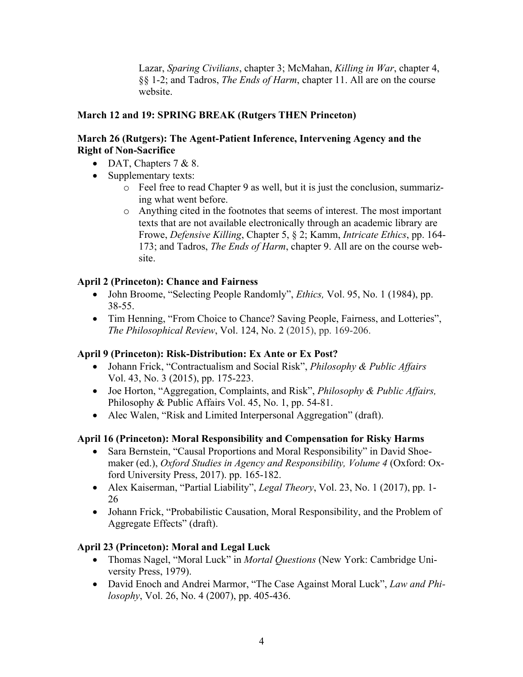Lazar, *Sparing Civilians*, chapter 3; McMahan, *Killing in War*, chapter 4, §§ 1-2; and Tadros, *The Ends of Harm*, chapter 11. All are on the course website.

# **March 12 and 19: SPRING BREAK (Rutgers THEN Princeton)**

## **March 26 (Rutgers): The Agent-Patient Inference, Intervening Agency and the Right of Non-Sacrifice**

- DAT, Chapters  $7 & 8$ .
- Supplementary texts:
	- o Feel free to read Chapter 9 as well, but it is just the conclusion, summarizing what went before.
	- o Anything cited in the footnotes that seems of interest. The most important texts that are not available electronically through an academic library are Frowe, *Defensive Killing*, Chapter 5, § 2; Kamm, *Intricate Ethics*, pp. 164- 173; and Tadros, *The Ends of Harm*, chapter 9. All are on the course website.

# **April 2 (Princeton): Chance and Fairness**

- John Broome, "Selecting People Randomly", *Ethics,* Vol. 95, No. 1 (1984), pp. 38-55.
- Tim Henning, "From Choice to Chance? Saving People, Fairness, and Lotteries", *The Philosophical Review*, Vol. 124, No. 2 (2015), pp. 169-206.

### **April 9 (Princeton): Risk-Distribution: Ex Ante or Ex Post?**

- Johann Frick, "Contractualism and Social Risk", *Philosophy & Public Affairs* Vol. 43, No. 3 (2015), pp. 175-223.
- Joe Horton, "Aggregation, Complaints, and Risk", *Philosophy & Public Affairs,*  Philosophy & Public Affairs Vol. 45, No. 1, pp. 54-81.
- Alec Walen, "Risk and Limited Interpersonal Aggregation" (draft).

### **April 16 (Princeton): Moral Responsibility and Compensation for Risky Harms**

- Sara Bernstein, "Causal Proportions and Moral Responsibility" in David Shoemaker (ed.), *Oxford Studies in Agency and Responsibility, Volume 4* (Oxford: Oxford University Press, 2017). pp. 165-182.
- Alex Kaiserman, "Partial Liability", *Legal Theory*, Vol. 23, No. 1 (2017), pp. 1- 26
- Johann Frick, "Probabilistic Causation, Moral Responsibility, and the Problem of Aggregate Effects" (draft).

# **April 23 (Princeton): Moral and Legal Luck**

- Thomas Nagel, "Moral Luck" in *Mortal Questions* (New York: Cambridge University Press, 1979).
- David Enoch and Andrei Marmor, "The Case Against Moral Luck", *Law and Philosophy*, Vol. 26, No. 4 (2007), pp. 405-436.